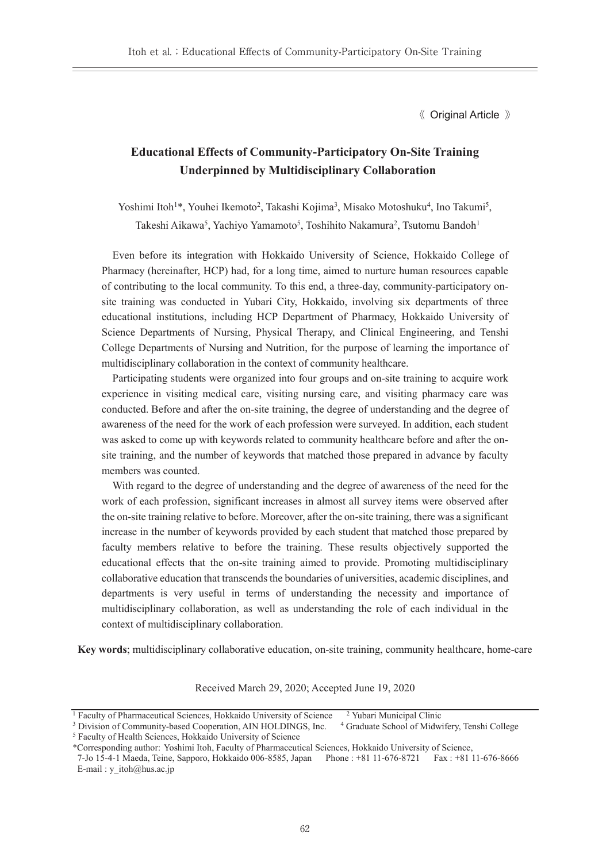《 Original Article 》

# **Educational Effects of Community-Participatory On-Site Training Underpinned by Multidisciplinary Collaboration**

Yoshimi Itoh<sup>1\*</sup>, Youhei Ikemoto<sup>2</sup>, Takashi Kojima<sup>3</sup>, Misako Motoshuku<sup>4</sup>, Ino Takumi<sup>5</sup>, Takeshi Aikawa<sup>5</sup>, Yachiyo Yamamoto<sup>5</sup>, Toshihito Nakamura<sup>2</sup>, Tsutomu Bandoh<sup>1</sup>

Even before its integration with Hokkaido University of Science, Hokkaido College of Pharmacy (hereinafter, HCP) had, for a long time, aimed to nurture human resources capable of contributing to the local community. To this end, a three-day, community-participatory onsite training was conducted in Yubari City, Hokkaido, involving six departments of three educational institutions, including HCP Department of Pharmacy, Hokkaido University of Science Departments of Nursing, Physical Therapy, and Clinical Engineering, and Tenshi College Departments of Nursing and Nutrition, for the purpose of learning the importance of multidisciplinary collaboration in the context of community healthcare.

Participating students were organized into four groups and on-site training to acquire work experience in visiting medical care, visiting nursing care, and visiting pharmacy care was conducted. Before and after the on-site training, the degree of understanding and the degree of awareness of the need for the work of each profession were surveyed. In addition, each student was asked to come up with keywords related to community healthcare before and after the onsite training, and the number of keywords that matched those prepared in advance by faculty members was counted.

With regard to the degree of understanding and the degree of awareness of the need for the work of each profession, significant increases in almost all survey items were observed after the on-site training relative to before. Moreover, after the on-site training, there was a significant increase in the number of keywords provided by each student that matched those prepared by faculty members relative to before the training. These results objectively supported the educational effects that the on-site training aimed to provide. Promoting multidisciplinary collaborative education that transcends the boundaries of universities, academic disciplines, and departments is very useful in terms of understanding the necessity and importance of multidisciplinary collaboration, as well as understanding the role of each individual in the context of multidisciplinary collaboration.

**Key words**; multidisciplinary collaborative education, on-site training, community healthcare, home-care

Received March 29, 2020; Accepted June 19, 2020

<sup>&</sup>lt;sup>1</sup> Faculty of Pharmaceutical Sciences, Hokkaido University of Science  $\frac{2 \text{ Yubari}}{\text{Yubari}}$  Municipal Clinic  $\frac{3 \text{ Division of Community-based Cooperation}}{\text{Xubari}}$ , AIN HOLDINGS, Inc.  $\frac{4 \text{ Graduate School of Midwifery}}{\text{Yubari}}$ , Tenshi College <sup>3</sup> Division of Community-based Cooperation, AIN HOLDINGS, Inc. <sup>5</sup> Faculty of Health Sciences, Hokkaido University of Science

<sup>\*</sup>Corresponding author: Yoshimi Itoh, Faculty of Pharmaceutical Sciences, Hokkaido University of Science,

<sup>7-</sup>Jo 15-4-1 Maeda, Teine, Sapporo, Hokkaido 006-8585, Japan Phone : +81 11-676-8721 Fax : +81 11-676-8666 E-mail : y\_itoh@hus.ac.jp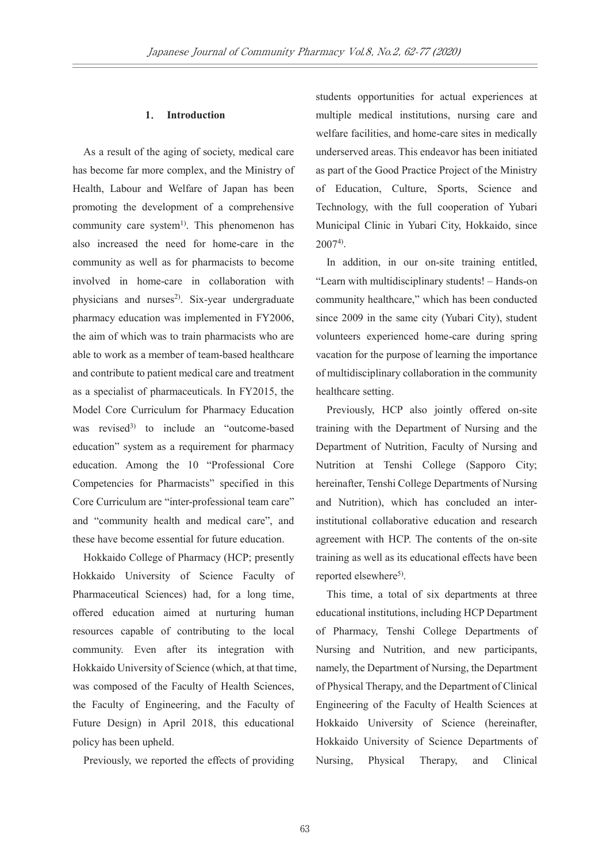## **1**. **Introduction**

As a result of the aging of society, medical care has become far more complex, and the Ministry of Health, Labour and Welfare of Japan has been promoting the development of a comprehensive community care system<sup>1)</sup>. This phenomenon has also increased the need for home-care in the community as well as for pharmacists to become involved in home-care in collaboration with physicians and nurses<sup>2)</sup>. Six-year undergraduate pharmacy education was implemented in FY2006, the aim of which was to train pharmacists who are able to work as a member of team-based healthcare and contribute to patient medical care and treatment as a specialist of pharmaceuticals. In FY2015, the Model Core Curriculum for Pharmacy Education was revised<sup>3)</sup> to include an "outcome-based" education" system as a requirement for pharmacy education. Among the 10 "Professional Core Competencies for Pharmacists" specified in this Core Curriculum are "inter-professional team care" and "community health and medical care", and these have become essential for future education.

Hokkaido College of Pharmacy (HCP; presently Hokkaido University of Science Faculty of Pharmaceutical Sciences) had, for a long time, offered education aimed at nurturing human resources capable of contributing to the local community. Even after its integration with Hokkaido University of Science (which, at that time, was composed of the Faculty of Health Sciences, the Faculty of Engineering, and the Faculty of Future Design) in April 2018, this educational policy has been upheld.

Previously, we reported the effects of providing

students opportunities for actual experiences at multiple medical institutions, nursing care and welfare facilities, and home-care sites in medically underserved areas. This endeavor has been initiated as part of the Good Practice Project of the Ministry of Education, Culture, Sports, Science and Technology, with the full cooperation of Yubari Municipal Clinic in Yubari City, Hokkaido, since 20074).

In addition, in our on-site training entitled, "Learn with multidisciplinary students! – Hands-on community healthcare," which has been conducted since 2009 in the same city (Yubari City), student volunteers experienced home-care during spring vacation for the purpose of learning the importance of multidisciplinary collaboration in the community healthcare setting.

Previously, HCP also jointly offered on-site training with the Department of Nursing and the Department of Nutrition, Faculty of Nursing and Nutrition at Tenshi College (Sapporo City; hereinafter, Tenshi College Departments of Nursing and Nutrition), which has concluded an interinstitutional collaborative education and research agreement with HCP. The contents of the on-site training as well as its educational effects have been reported elsewhere<sup>5)</sup>.

This time, a total of six departments at three educational institutions, including HCP Department of Pharmacy, Tenshi College Departments of Nursing and Nutrition, and new participants, namely, the Department of Nursing, the Department of Physical Therapy, and the Department of Clinical Engineering of the Faculty of Health Sciences at Hokkaido University of Science (hereinafter, Hokkaido University of Science Departments of Nursing, Physical Therapy, and Clinical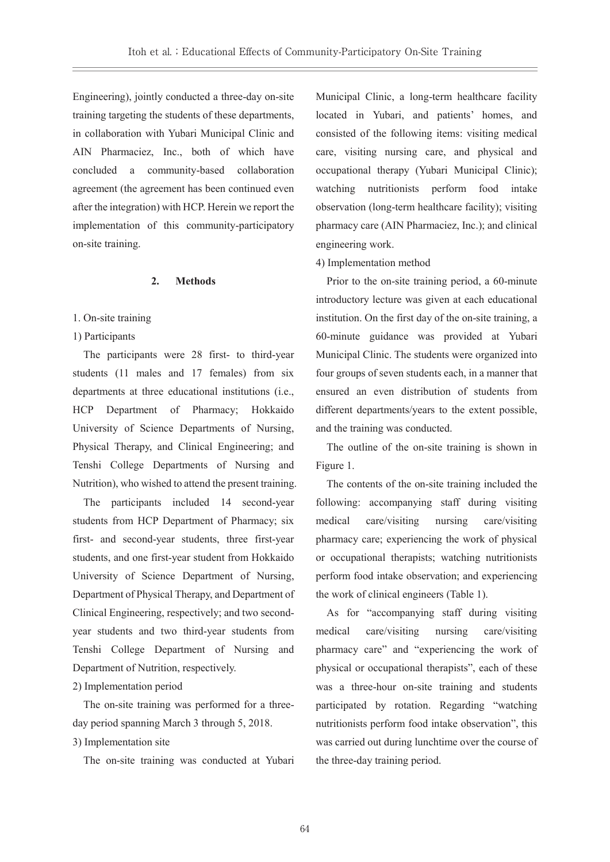Engineering), jointly conducted a three-day on-site training targeting the students of these departments, in collaboration with Yubari Municipal Clinic and AIN Pharmaciez, Inc., both of which have concluded a community-based collaboration agreement (the agreement has been continued even after the integration) with HCP. Herein we report the implementation of this community-participatory on-site training.

### **2. Methods**

# 1. On-site training

# 1) Participants

The participants were 28 first- to third-year students (11 males and 17 females) from six departments at three educational institutions (i.e., HCP Department of Pharmacy; Hokkaido University of Science Departments of Nursing, Physical Therapy, and Clinical Engineering; and Tenshi College Departments of Nursing and Nutrition), who wished to attend the present training.

The participants included 14 second-year students from HCP Department of Pharmacy; six first- and second-year students, three first-year students, and one first-year student from Hokkaido University of Science Department of Nursing, Department of Physical Therapy, and Department of Clinical Engineering, respectively; and two secondyear students and two third-year students from Tenshi College Department of Nursing and Department of Nutrition, respectively.

### 2) Implementation period

The on-site training was performed for a threeday period spanning March 3 through 5, 2018.

# 3) Implementation site

The on-site training was conducted at Yubari

Municipal Clinic, a long-term healthcare facility located in Yubari, and patients' homes, and consisted of the following items: visiting medical care, visiting nursing care, and physical and occupational therapy (Yubari Municipal Clinic); watching nutritionists perform food intake observation (long-term healthcare facility); visiting pharmacy care (AIN Pharmaciez, Inc.); and clinical engineering work.

### 4) Implementation method

Prior to the on-site training period, a 60-minute introductory lecture was given at each educational institution. On the first day of the on-site training, a 60-minute guidance was provided at Yubari Municipal Clinic. The students were organized into four groups of seven students each, in a manner that ensured an even distribution of students from different departments/years to the extent possible, and the training was conducted.

The outline of the on-site training is shown in Figure 1.

The contents of the on-site training included the following: accompanying staff during visiting medical care/visiting nursing care/visiting pharmacy care; experiencing the work of physical or occupational therapists; watching nutritionists perform food intake observation; and experiencing the work of clinical engineers (Table 1).

As for "accompanying staff during visiting medical care/visiting nursing care/visiting pharmacy care" and "experiencing the work of physical or occupational therapists", each of these was a three-hour on-site training and students participated by rotation. Regarding "watching nutritionists perform food intake observation", this was carried out during lunchtime over the course of the three-day training period.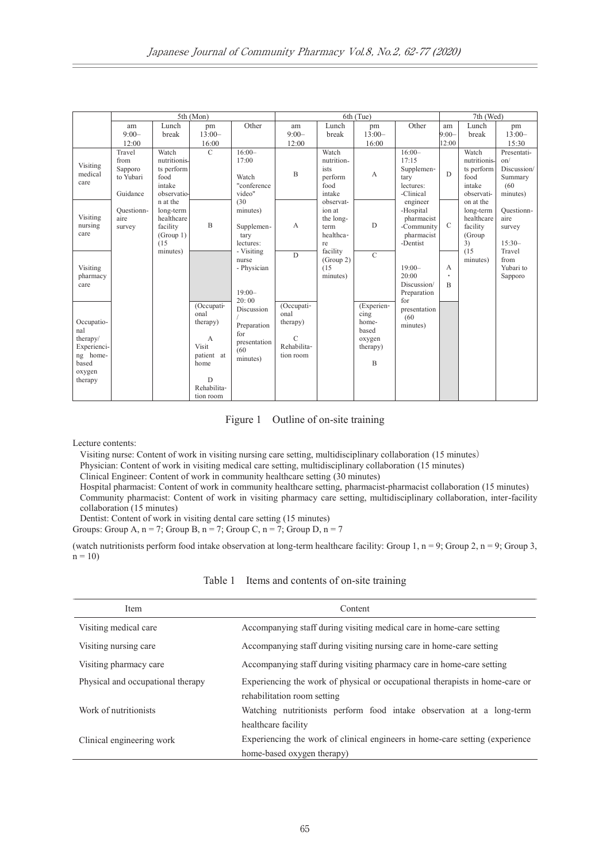|                                                                                        | 5th (Mon)                                          |                                                                      |                                                                                                                          |                                                                               | 6th (Tue)                                                                   |                                                             |                                                                           |                                                                             | 7th (Wed)                |                                                                     |                                                                  |  |  |
|----------------------------------------------------------------------------------------|----------------------------------------------------|----------------------------------------------------------------------|--------------------------------------------------------------------------------------------------------------------------|-------------------------------------------------------------------------------|-----------------------------------------------------------------------------|-------------------------------------------------------------|---------------------------------------------------------------------------|-----------------------------------------------------------------------------|--------------------------|---------------------------------------------------------------------|------------------------------------------------------------------|--|--|
|                                                                                        | am<br>$9:00-$<br>12:00                             | Lunch<br>break                                                       | pm<br>$13:00-$<br>16:00                                                                                                  | Other                                                                         | am<br>$9:00-$<br>12:00                                                      | Lunch<br>break                                              | pm<br>$13:00-$<br>16:00                                                   | Other                                                                       | am<br>$9:00 -$<br>12:00  | Lunch<br>break                                                      | pm<br>$13:00-$<br>15:30                                          |  |  |
| Visiting<br>medical<br>care                                                            | Travel<br>from<br>Sapporo<br>to Yubari<br>Guidance | Watch<br>nutritionis-<br>ts perform<br>food<br>intake<br>observatio- | $\mathcal{C}$                                                                                                            | $16:00-$<br>17:00<br>Watch<br>"conference<br>video"                           | B                                                                           | Watch<br>nutrition-<br>ists<br>perform<br>food<br>intake    | A                                                                         | $16:00 -$<br>17:15<br>Supplemen-<br>tary<br>lectures:<br>-Clinical          | $\overline{D}$           | Watch<br>nutritionis-<br>ts perform<br>food<br>intake<br>observati- | Presentati-<br>on/<br>Discussion/<br>Summary<br>(60)<br>minutes) |  |  |
| Visiting<br>nursing<br>care                                                            | Ouestionn-<br>aire<br>survey                       | n at the<br>long-term<br>healthcare<br>facility<br>(Group 1)<br>(15) | B                                                                                                                        | (30)<br>minutes)<br>Supplemen-<br>tary<br>lectures:                           | A                                                                           | observat-<br>ion at<br>the long-<br>term<br>healthca-<br>re | D                                                                         | engineer<br>-Hospital<br>pharmacist<br>-Community<br>pharmacist<br>-Dentist | $\mathcal{C}$            | on at the<br>long-term<br>healthcare<br>facility<br>(Group<br>3)    | Ouestionn-<br>aire<br>survey<br>$15:30-$                         |  |  |
| Visiting<br>pharmacy<br>care                                                           |                                                    | minutes)                                                             |                                                                                                                          | - Visiting<br>nurse<br>- Physician<br>$19:00-$                                | D                                                                           | facility<br>(Group 2)<br>(15)<br>minutes)                   | $\mathcal{C}$                                                             | $19:00-$<br>20:00<br>Discussion/<br>Preparation                             | A<br>٠<br>$\overline{B}$ | (15)<br>minutes)                                                    | Travel<br>from<br>Yubari to<br>Sapporo                           |  |  |
| Occupatio-<br>nal<br>therapy/<br>Experienci-<br>ng home-<br>based<br>oxygen<br>therapy |                                                    |                                                                      | (Occupati-<br>onal<br>therapy)<br>$\mathbf{A}$<br>Visit<br>patient at<br>home<br>$\mathbf D$<br>Rehabilita-<br>tion room | 20:00<br>Discussion<br>Preparation<br>for<br>presentation<br>(60)<br>minutes) | (Occupati-<br>onal<br>therapy)<br>$\mathcal{C}$<br>Rehabilita-<br>tion room |                                                             | (Experien-<br>cing<br>home-<br>based<br>oxygen<br>therapy)<br>$\mathbf B$ | for<br>presentation<br>(60)<br>minutes)                                     |                          |                                                                     |                                                                  |  |  |

Figure 1 Outline of on-site training

Lecture contents:

Visiting nurse: Content of work in visiting nursing care setting, multidisciplinary collaboration (15 minutes)

Physician: Content of work in visiting medical care setting, multidisciplinary collaboration (15 minutes)

Clinical Engineer: Content of work in community healthcare setting (30 minutes)

Hospital pharmacist: Content of work in community healthcare setting, pharmacist-pharmacist collaboration (15 minutes) Community pharmacist: Content of work in visiting pharmacy care setting, multidisciplinary collaboration, inter-facility collaboration (15 minutes)

Dentist: Content of work in visiting dental care setting (15 minutes)

Groups: Group A,  $n = 7$ ; Group B,  $n = 7$ ; Group C,  $n = 7$ ; Group D,  $n = 7$ 

(watch nutritionists perform food intake observation at long-term healthcare facility: Group 1,  $n = 9$ ; Group 2,  $n = 9$ ; Group 3,  $n = 10$ 

| <b>Item</b>                       | Content                                                                                                     |
|-----------------------------------|-------------------------------------------------------------------------------------------------------------|
| Visiting medical care             | Accompanying staff during visiting medical care in home-care setting                                        |
| Visiting nursing care             | Accompanying staff during visiting nursing care in home-care setting                                        |
| Visiting pharmacy care            | Accompanying staff during visiting pharmacy care in home-care setting                                       |
| Physical and occupational therapy | Experiencing the work of physical or occupational therapists in home-care or<br>rehabilitation room setting |
| Work of nutritionists             | Watching nutritionists perform food intake observation at a long-term<br>healthcare facility                |
| Clinical engineering work         | Experiencing the work of clinical engineers in home-care setting (experience)<br>home-based oxygen therapy) |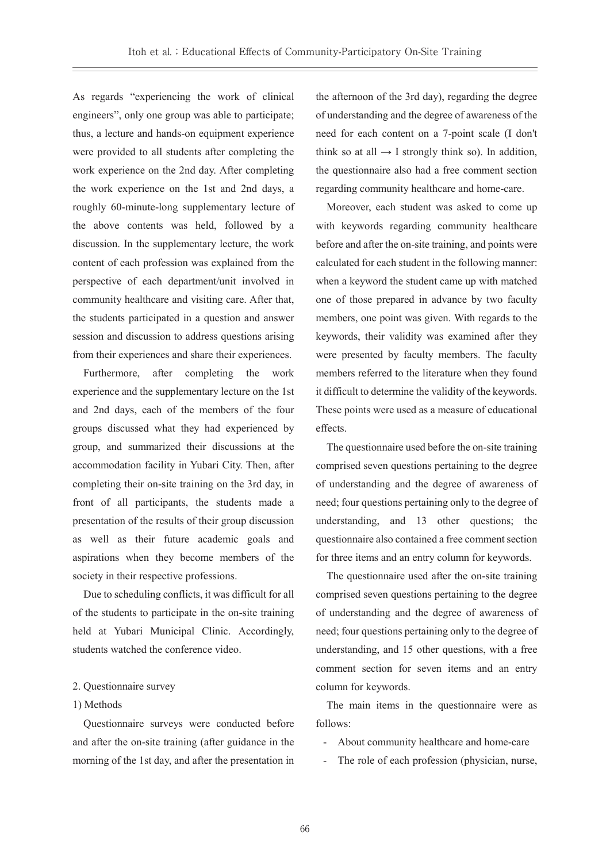As regards "experiencing the work of clinical engineers", only one group was able to participate; thus, a lecture and hands-on equipment experience were provided to all students after completing the work experience on the 2nd day. After completing the work experience on the 1st and 2nd days, a roughly 60-minute-long supplementary lecture of the above contents was held, followed by a discussion. In the supplementary lecture, the work content of each profession was explained from the perspective of each department/unit involved in community healthcare and visiting care. After that, the students participated in a question and answer session and discussion to address questions arising from their experiences and share their experiences.

Furthermore, after completing the work experience and the supplementary lecture on the 1st and 2nd days, each of the members of the four groups discussed what they had experienced by group, and summarized their discussions at the accommodation facility in Yubari City. Then, after completing their on-site training on the 3rd day, in front of all participants, the students made a presentation of the results of their group discussion as well as their future academic goals and aspirations when they become members of the society in their respective professions.

Due to scheduling conflicts, it was difficult for all of the students to participate in the on-site training held at Yubari Municipal Clinic. Accordingly, students watched the conference video.

### 2. Questionnaire survey

## 1) Methods

Questionnaire surveys were conducted before and after the on-site training (after guidance in the morning of the 1st day, and after the presentation in the afternoon of the 3rd day), regarding the degree of understanding and the degree of awareness of the need for each content on a 7-point scale (I don't think so at all  $\rightarrow$  I strongly think so). In addition, the questionnaire also had a free comment section regarding community healthcare and home-care.

Moreover, each student was asked to come up with keywords regarding community healthcare before and after the on-site training, and points were calculated for each student in the following manner: when a keyword the student came up with matched one of those prepared in advance by two faculty members, one point was given. With regards to the keywords, their validity was examined after they were presented by faculty members. The faculty members referred to the literature when they found it difficult to determine the validity of the keywords. These points were used as a measure of educational effects.

The questionnaire used before the on-site training comprised seven questions pertaining to the degree of understanding and the degree of awareness of need; four questions pertaining only to the degree of understanding, and 13 other questions; the questionnaire also contained a free comment section for three items and an entry column for keywords.

The questionnaire used after the on-site training comprised seven questions pertaining to the degree of understanding and the degree of awareness of need; four questions pertaining only to the degree of understanding, and 15 other questions, with a free comment section for seven items and an entry column for keywords.

The main items in the questionnaire were as follows:

- About community healthcare and home-care
- The role of each profession (physician, nurse,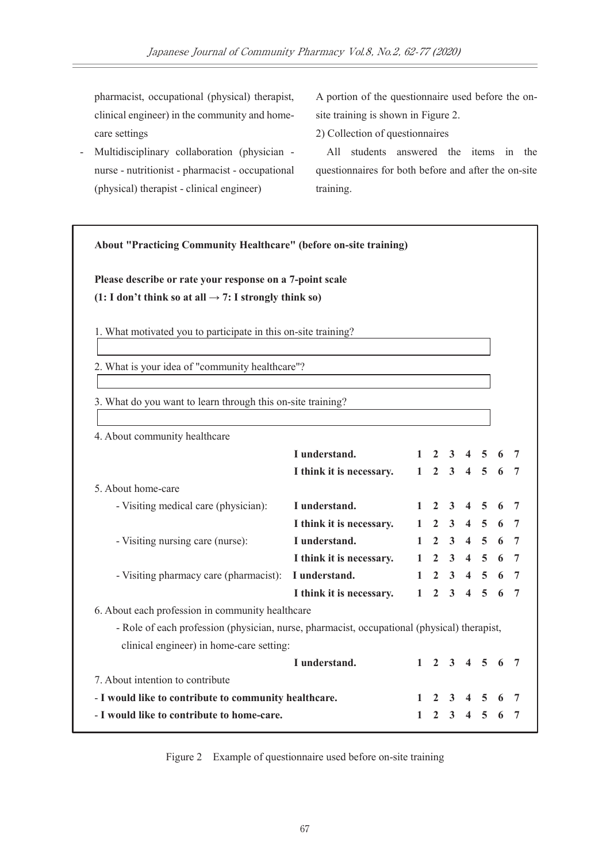pharmacist, occupational (physical) therapist, clinical engineer) in the community and homecare settings

- Multidisciplinary collaboration (physician nurse - nutritionist - pharmacist - occupational (physical) therapist - clinical engineer)

A portion of the questionnaire used before the onsite training is shown in Figure 2.

2) Collection of questionnaires

All students answered the items in the questionnaires for both before and after the on-site training.

| Please describe or rate your response on a 7-point scale<br>$(1: I don't think so at all \rightarrow 7: I strongly think so)$ |                          |              |                |                |                     |                |   |   |
|-------------------------------------------------------------------------------------------------------------------------------|--------------------------|--------------|----------------|----------------|---------------------|----------------|---|---|
|                                                                                                                               |                          |              |                |                |                     |                |   |   |
| 1. What motivated you to participate in this on-site training?                                                                |                          |              |                |                |                     |                |   |   |
| 2. What is your idea of "community healthcare"?                                                                               |                          |              |                |                |                     |                |   |   |
|                                                                                                                               |                          |              |                |                |                     |                |   |   |
| 3. What do you want to learn through this on-site training?                                                                   |                          |              |                |                |                     |                |   |   |
|                                                                                                                               |                          |              |                |                |                     |                |   |   |
| 4. About community healthcare                                                                                                 |                          |              |                |                |                     |                |   |   |
|                                                                                                                               | I understand.            |              |                |                | $1 \t2 \t3 \t4 \t5$ |                | 6 | 7 |
|                                                                                                                               | I think it is necessary. |              |                |                | $1 \t2 \t3 \t4 \t5$ |                | 6 | 7 |
| 5. About home-care                                                                                                            |                          |              |                |                |                     |                |   |   |
| - Visiting medical care (physician):                                                                                          | I understand.            | 1            | $\mathbf{2}$   | 3              | $\overline{4}$      | 5              | 6 | 7 |
|                                                                                                                               | I think it is necessary. | $\mathbf{1}$ | $\overline{2}$ |                | $3 \quad 4$         | 5              | 6 | 7 |
| - Visiting nursing care (nurse):                                                                                              | I understand.            | $\mathbf{1}$ | $\mathbf{2}$   |                | $3 \quad 4 \quad 5$ |                | 6 | 7 |
|                                                                                                                               | I think it is necessary. | $\mathbf{1}$ | $\overline{2}$ |                | $3\quad 4$          | $\overline{5}$ | 6 | 7 |
| - Visiting pharmacy care (pharmacist): I understand.                                                                          |                          | $\mathbf{1}$ | $\mathbf{2}$   |                | $3\quad 4$          | $\overline{5}$ | 6 | 7 |
|                                                                                                                               | I think it is necessary. | $\mathbf{1}$ | 2 <sup>1</sup> | 3 <sup>1</sup> | $\overline{4}$      | 5 <sup>1</sup> | 6 | 7 |
| 6. About each profession in community healthcare                                                                              |                          |              |                |                |                     |                |   |   |
| - Role of each profession (physician, nurse, pharmacist, occupational (physical) therapist,                                   |                          |              |                |                |                     |                |   |   |
| clinical engineer) in home-care setting:                                                                                      |                          |              |                |                |                     |                |   |   |
|                                                                                                                               | I understand.            |              |                |                | $1 \t2 \t3 \t4 \t5$ |                | 6 | 7 |
|                                                                                                                               |                          |              |                |                |                     |                |   |   |
|                                                                                                                               |                          |              |                |                |                     |                |   |   |
| 7. About intention to contribute<br>- I would like to contribute to community healthcare.                                     |                          |              |                |                |                     |                |   |   |

Figure 2 Example of questionnaire used before on-site training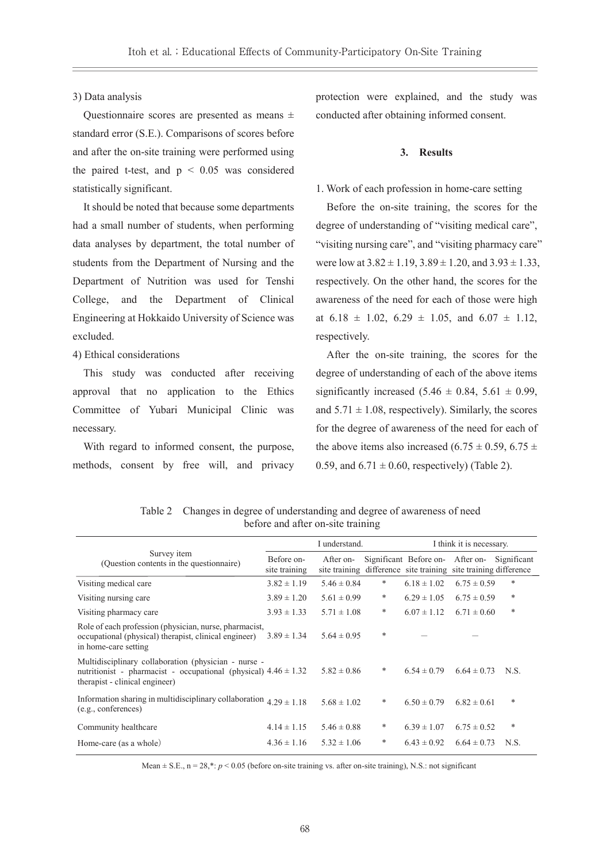## 3) Data analysis

Questionnaire scores are presented as means ± standard error (S.E.). Comparisons of scores before and after the on-site training were performed using the paired t-test, and  $p < 0.05$  was considered statistically significant.

It should be noted that because some departments had a small number of students, when performing data analyses by department, the total number of students from the Department of Nursing and the Department of Nutrition was used for Tenshi College, and the Department of Clinical Engineering at Hokkaido University of Science was excluded.

# 4) Ethical considerations

This study was conducted after receiving approval that no application to the Ethics Committee of Yubari Municipal Clinic was necessary.

With regard to informed consent, the purpose, methods, consent by free will, and privacy protection were explained, and the study was conducted after obtaining informed consent.

## **3. Results**

# 1. Work of each profession in home-care setting

Before the on-site training, the scores for the degree of understanding of "visiting medical care", "visiting nursing care", and "visiting pharmacy care" were low at  $3.82 \pm 1.19$ ,  $3.89 \pm 1.20$ , and  $3.93 \pm 1.33$ , respectively. On the other hand, the scores for the awareness of the need for each of those were high at  $6.18 \pm 1.02$ ,  $6.29 \pm 1.05$ , and  $6.07 \pm 1.12$ , respectively.

After the on-site training, the scores for the degree of understanding of each of the above items significantly increased  $(5.46 \pm 0.84, 5.61 \pm 0.99,$ and  $5.71 \pm 1.08$ , respectively). Similarly, the scores for the degree of awareness of the need for each of the above items also increased (6.75  $\pm$  0.59, 6.75  $\pm$ 0.59, and  $6.71 \pm 0.60$ , respectively) (Table 2).

|                                                                                                                                                               |                             | I understand.   |   | I think it is necessary.                                                                  |                 |             |  |
|---------------------------------------------------------------------------------------------------------------------------------------------------------------|-----------------------------|-----------------|---|-------------------------------------------------------------------------------------------|-----------------|-------------|--|
| Survey item<br>(Question contents in the questionnaire)                                                                                                       | Before on-<br>site training | After on-       |   | Significant Before on-<br>site training difference site training site training difference | After on-       | Significant |  |
| Visiting medical care                                                                                                                                         | $3.82 \pm 1.19$             | $5.46 \pm 0.84$ | * | $6.18 \pm 1.02$                                                                           | $6.75 \pm 0.59$ | *           |  |
| Visiting nursing care                                                                                                                                         | $3.89 \pm 1.20$             | $5.61 \pm 0.99$ | * | $6.29 \pm 1.05$                                                                           | $6.75 \pm 0.59$ | *           |  |
| Visiting pharmacy care                                                                                                                                        | $3.93 \pm 1.33$             | $5.71 \pm 1.08$ | * | $6.07 \pm 1.12$                                                                           | $6.71 \pm 0.60$ | $\ast$      |  |
| Role of each profession (physician, nurse, pharmacist,<br>occupational (physical) therapist, clinical engineer)<br>in home-care setting                       | $3.89 \pm 1.34$             | $5.64 \pm 0.95$ | * |                                                                                           |                 |             |  |
| Multidisciplinary collaboration (physician - nurse -<br>nutritionist - pharmacist - occupational (physical) $4.46 \pm 1.32$<br>therapist - clinical engineer) |                             | $5.82 \pm 0.86$ | * | $6.54 \pm 0.79$                                                                           | $6.64 \pm 0.73$ | N.S.        |  |
| Information sharing in multidisciplinary collaboration $4.29 \pm 1.18$<br>(e.g., conferences)                                                                 |                             | $5.68 \pm 1.02$ | * | $6.50 \pm 0.79$                                                                           | $6.82 \pm 0.61$ | *           |  |
| Community healthcare                                                                                                                                          | $4.14 \pm 1.15$             | $5.46 \pm 0.88$ | * | $6.39 \pm 1.07$                                                                           | $6.75 \pm 0.52$ | *           |  |
| Home-care (as a whole)                                                                                                                                        | $4.36 \pm 1.16$             | $5.32 \pm 1.06$ | * | $6.43 \pm 0.92$                                                                           | $6.64 \pm 0.73$ | N.S.        |  |

Table 2 Changes in degree of understanding and degree of awareness of need before and after on-site training

Mean  $\pm$  S.E., n = 28,\*:  $p$  < 0.05 (before on-site training vs. after on-site training), N.S.: not significant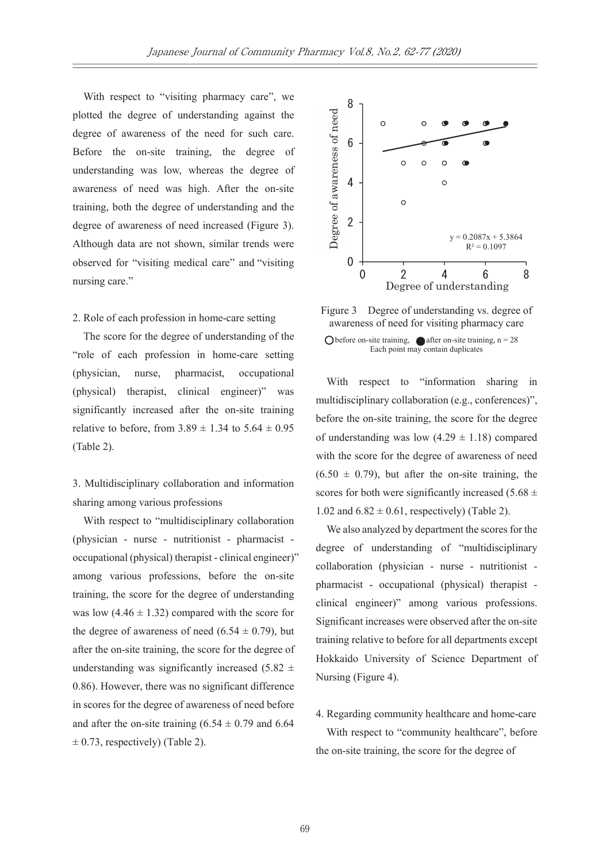With respect to "visiting pharmacy care", we plotted the degree of understanding against the degree of awareness of the need for such care. Before the on-site training, the degree of understanding was low, whereas the degree of awareness of need was high. After the on-site training, both the degree of understanding and the degree of awareness of need increased (Figure 3). Although data are not shown, similar trends were observed for "visiting medical care" and "visiting nursing care."

## 2. Role of each profession in home-care setting

The score for the degree of understanding of the "role of each profession in home-care setting (physician, nurse, pharmacist, occupational (physical) therapist, clinical engineer)" was significantly increased after the on-site training relative to before, from  $3.89 \pm 1.34$  to  $5.64 \pm 0.95$ (Table 2).

3. Multidisciplinary collaboration and information sharing among various professions

With respect to "multidisciplinary collaboration (physician - nurse - nutritionist - pharmacist occupational (physical) therapist - clinical engineer)" among various professions, before the on-site training, the score for the degree of understanding was low  $(4.46 \pm 1.32)$  compared with the score for the degree of awareness of need  $(6.54 \pm 0.79)$ , but after the on-site training, the score for the degree of understanding was significantly increased  $(5.82 \pm$ 0.86). However, there was no significant difference in scores for the degree of awareness of need before and after the on-site training  $(6.54 \pm 0.79)$  and  $(6.64)$  $\pm$  0.73, respectively) (Table 2).



Figure 3 Degree of understanding vs. degree of awareness of need for visiting pharmacy care O before on-site training,  $\bullet$  after on-site training, n = 28 Each point may contain duplicates

With respect to "information sharing in multidisciplinary collaboration (e.g., conferences)", before the on-site training, the score for the degree of understanding was low  $(4.29 \pm 1.18)$  compared with the score for the degree of awareness of need  $(6.50 \pm 0.79)$ , but after the on-site training, the scores for both were significantly increased (5.68  $\pm$ 1.02 and  $6.82 \pm 0.61$ , respectively) (Table 2).

We also analyzed by department the scores for the degree of understanding of "multidisciplinary collaboration (physician - nurse - nutritionist pharmacist - occupational (physical) therapist clinical engineer)" among various professions. Significant increases were observed after the on-site training relative to before for all departments except Hokkaido University of Science Department of Nursing (Figure 4).

4. Regarding community healthcare and home-care With respect to "community healthcare", before the on-site training, the score for the degree of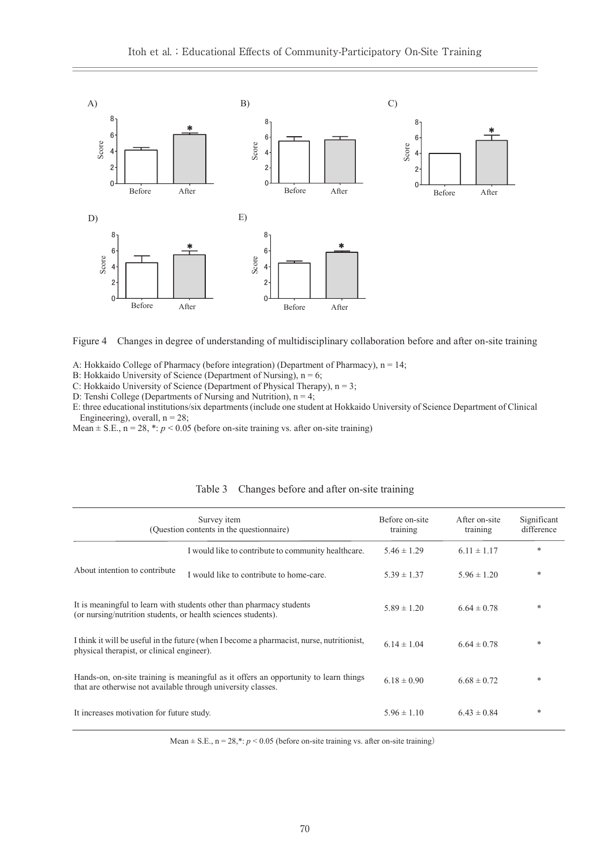

Figure 4 Changes in degree of understanding of multidisciplinary collaboration before and after on-site training

| Scor<br>$\ddot{4}$<br>$2 -$<br>$0 -$<br>Before                                                                                                                                                                                                                                                                                                                                                                                                                                                                                                                                                                                                                                                                                                                                | After                                                   | Score<br>4-<br>21<br>0 <sup>1</sup><br>Before       | After           | Score<br>4<br>$2^{\circ}$<br>$\mathbf{0}$<br>Before | After                     |                           |  |  |  |  |
|-------------------------------------------------------------------------------------------------------------------------------------------------------------------------------------------------------------------------------------------------------------------------------------------------------------------------------------------------------------------------------------------------------------------------------------------------------------------------------------------------------------------------------------------------------------------------------------------------------------------------------------------------------------------------------------------------------------------------------------------------------------------------------|---------------------------------------------------------|-----------------------------------------------------|-----------------|-----------------------------------------------------|---------------------------|---------------------------|--|--|--|--|
| D)                                                                                                                                                                                                                                                                                                                                                                                                                                                                                                                                                                                                                                                                                                                                                                            | E)                                                      |                                                     |                 |                                                     |                           |                           |  |  |  |  |
| 8<br>6<br>Score<br>4<br>2<br>$0 -$                                                                                                                                                                                                                                                                                                                                                                                                                                                                                                                                                                                                                                                                                                                                            |                                                         | 8<br>6<br>Score<br>$2 -$<br>$\mathbf 0$             | *               |                                                     |                           |                           |  |  |  |  |
| Before                                                                                                                                                                                                                                                                                                                                                                                                                                                                                                                                                                                                                                                                                                                                                                        | After                                                   | Before                                              | After           |                                                     |                           |                           |  |  |  |  |
| Changes in degree of understanding of multidisciplinary collaboration before and after on-site training<br>Figure 4<br>A: Hokkaido College of Pharmacy (before integration) (Department of Pharmacy), $n = 14$ ;<br>B: Hokkaido University of Science (Department of Nursing), $n = 6$ ;<br>C: Hokkaido University of Science (Department of Physical Therapy), $n = 3$ ;<br>D: Tenshi College (Departments of Nursing and Nutrition), $n = 4$ ;<br>E: three educational institutions/six departments (include one student at Hokkaido University of Science Department of Clinical<br>Engineering), overall, $n = 28$ ;<br>Mean $\pm$ S.E., n = 28, *: p < 0.05 (before on-site training vs. after on-site training)<br>Changes before and after on-site training<br>Table 3 |                                                         |                                                     |                 |                                                     |                           |                           |  |  |  |  |
|                                                                                                                                                                                                                                                                                                                                                                                                                                                                                                                                                                                                                                                                                                                                                                               | Survey item<br>(Question contents in the questionnaire) |                                                     |                 | Before on-site<br>training                          | After on-site<br>training | Significant<br>difference |  |  |  |  |
|                                                                                                                                                                                                                                                                                                                                                                                                                                                                                                                                                                                                                                                                                                                                                                               |                                                         | I would like to contribute to community healthcare. |                 | $5.46 \pm 1.29$                                     | $6.11 \pm 1.17$           | *                         |  |  |  |  |
| About intention to contribute                                                                                                                                                                                                                                                                                                                                                                                                                                                                                                                                                                                                                                                                                                                                                 |                                                         | I would like to contribute to home-care.            |                 | $5.39 \pm 1.37$                                     | $5.96 \pm 1.20$           | *                         |  |  |  |  |
| It is meaningful to learn with students other than pharmacy students<br>(or nursing/nutrition students, or health sciences students).                                                                                                                                                                                                                                                                                                                                                                                                                                                                                                                                                                                                                                         |                                                         | $5.89 \pm 1.20$                                     | $6.64 \pm 0.78$ | ∗                                                   |                           |                           |  |  |  |  |
| I think it will be useful in the future (when I become a pharmacist, nurse, nutritionist,<br>physical therapist, or clinical engineer).                                                                                                                                                                                                                                                                                                                                                                                                                                                                                                                                                                                                                                       |                                                         | $6.14 \pm 1.04$                                     | $6.64 \pm 0.78$ | *                                                   |                           |                           |  |  |  |  |
| Hands-on, on-site training is meaningful as it offers an opportunity to learn things<br>that are otherwise not available through university classes.                                                                                                                                                                                                                                                                                                                                                                                                                                                                                                                                                                                                                          |                                                         | $6.18 \pm 0.90$                                     | $6.68 \pm 0.72$ | *                                                   |                           |                           |  |  |  |  |
| It increases motivation for future study.                                                                                                                                                                                                                                                                                                                                                                                                                                                                                                                                                                                                                                                                                                                                     |                                                         |                                                     |                 | $5.96 \pm 1.10$                                     | $6.43 \pm 0.84$           | *                         |  |  |  |  |

Table 3 Changes before and after on-site training

Mean  $\pm$  S.E.,  $n = 28$ ,\*:  $p < 0.05$  (before on-site training vs. after on-site training)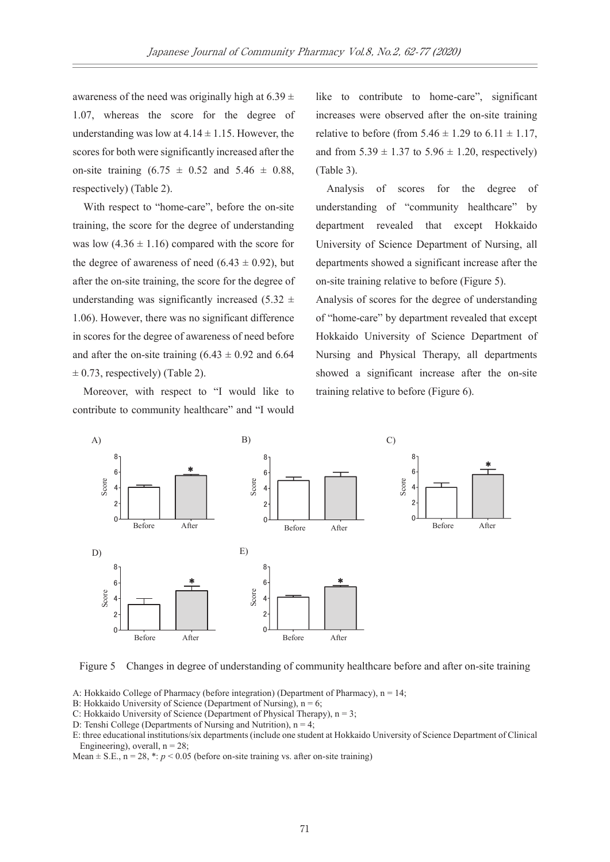awareness of the need was originally high at  $6.39 \pm$ 1.07, whereas the score for the degree of understanding was low at  $4.14 \pm 1.15$ . However, the scores for both were significantly increased after the on-site training  $(6.75 \pm 0.52 \text{ and } 5.46 \pm 0.88,$ respectively) (Table 2).

With respect to "home-care", before the on-site training, the score for the degree of understanding was low  $(4.36 \pm 1.16)$  compared with the score for the degree of awareness of need  $(6.43 \pm 0.92)$ , but after the on-site training, the score for the degree of understanding was significantly increased (5.32  $\pm$ 1.06). However, there was no significant difference in scores for the degree of awareness of need before and after the on-site training  $(6.43 \pm 0.92)$  and  $6.64$  $\pm$  0.73, respectively) (Table 2).

Moreover, with respect to "I would like to contribute to community healthcare" and "I would like to contribute to home-care", significant increases were observed after the on-site training relative to before (from  $5.46 \pm 1.29$  to  $6.11 \pm 1.17$ , and from  $5.39 \pm 1.37$  to  $5.96 \pm 1.20$ , respectively) (Table 3).

Analysis of scores for the degree of understanding of "community healthcare" by department revealed that except Hokkaido University of Science Department of Nursing, all departments showed a significant increase after the on-site training relative to before (Figure 5).

Analysis of scores for the degree of understanding of "home-care" by department revealed that except Hokkaido University of Science Department of Nursing and Physical Therapy, all departments showed a significant increase after the on-site training relative to before (Figure 6).



Figure 5 Changes in degree of understanding of community healthcare before and after on-site training

A: Hokkaido College of Pharmacy (before integration) (Department of Pharmacy), n = 14;

B: Hokkaido University of Science (Department of Nursing),  $n = 6$ ;

C: Hokkaido University of Science (Department of Physical Therapy),  $n = 3$ ;

D: Tenshi College (Departments of Nursing and Nutrition),  $n = 4$ ;

E: three educational institutions/six departments (include one student at Hokkaido University of Science Department of Clinical Engineering), overall,  $n = 28$ ;

Mean  $\pm$  S.E., n = 28,  $\ast$ :  $p$  < 0.05 (before on-site training vs. after on-site training)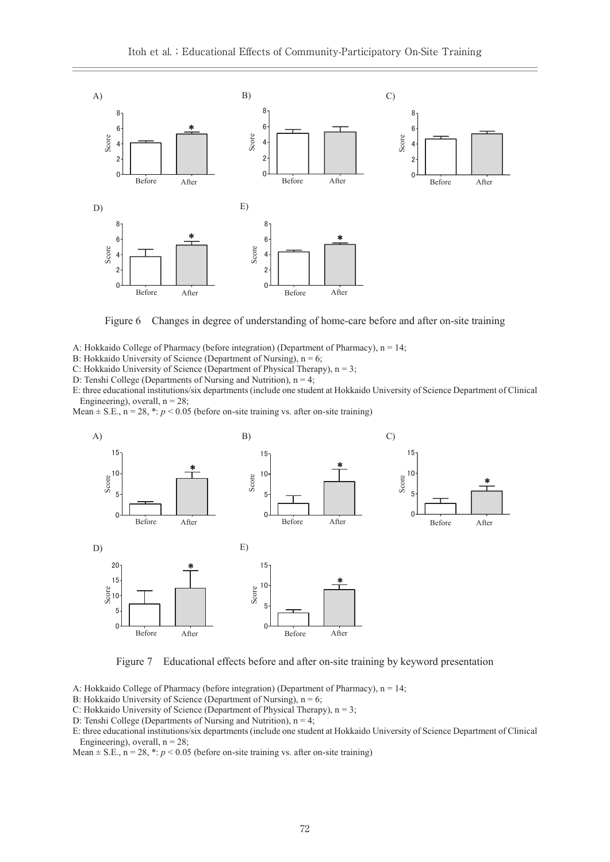

Figure 6 Changes in degree of understanding of home-care before and after on-site training

A: Hokkaido College of Pharmacy (before integration) (Department of Pharmacy),  $n = 14$ ;

B: Hokkaido University of Science (Department of Nursing),  $n = 6$ ;

C: Hokkaido University of Science (Department of Physical Therapy), n = 3;

D: Tenshi College (Departments of Nursing and Nutrition),  $n = 4$ ;

E: three educational institutions/six departments (include one student at Hokkaido University of Science Department of Clinical Engineering), overall,  $n = 28$ ;

Mean  $\pm$  S.E.,  $n = 28$ ,  $\ast$ :  $p < 0.05$  (before on-site training vs. after on-site training)



Figure 7 Educational effects before and after on-site training by keyword presentation

A: Hokkaido College of Pharmacy (before integration) (Department of Pharmacy), n = 14;

- B: Hokkaido University of Science (Department of Nursing),  $n = 6$ ;
- C: Hokkaido University of Science (Department of Physical Therapy),  $n = 3$ ;
- D: Tenshi College (Departments of Nursing and Nutrition),  $n = 4$ ;

Mean  $\pm$  S.E., n = 28,  $\ast$ :  $p$  < 0.05 (before on-site training vs. after on-site training)

E: three educational institutions/six departments (include one student at Hokkaido University of Science Department of Clinical Engineering), overall,  $n = 28$ ;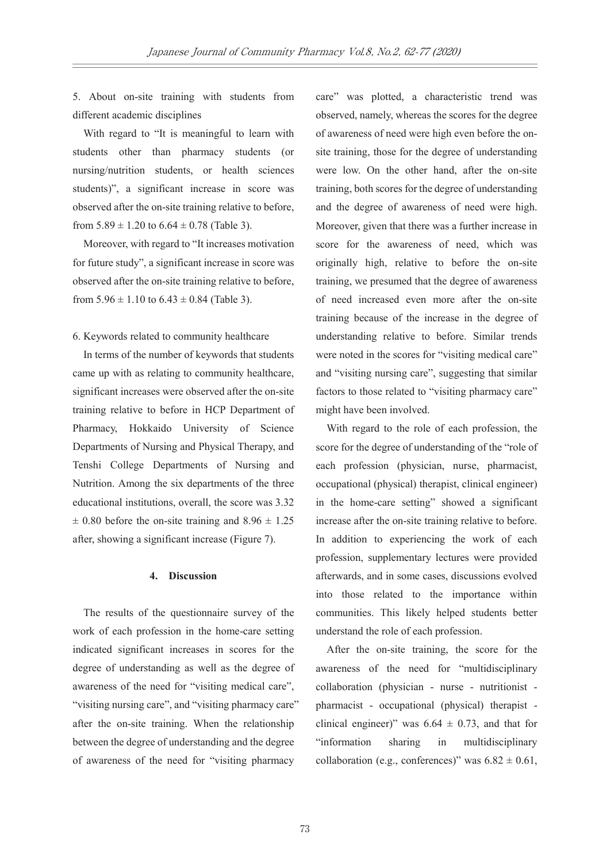5. About on-site training with students from different academic disciplines

With regard to "It is meaningful to learn with students other than pharmacy students (or nursing/nutrition students, or health sciences students)", a significant increase in score was observed after the on-site training relative to before, from  $5.89 \pm 1.20$  to  $6.64 \pm 0.78$  (Table 3).

Moreover, with regard to "It increases motivation for future study", a significant increase in score was observed after the on-site training relative to before, from  $5.96 \pm 1.10$  to  $6.43 \pm 0.84$  (Table 3).

## 6. Keywords related to community healthcare

In terms of the number of keywords that students came up with as relating to community healthcare, significant increases were observed after the on-site training relative to before in HCP Department of Pharmacy, Hokkaido University of Science Departments of Nursing and Physical Therapy, and Tenshi College Departments of Nursing and Nutrition. Among the six departments of the three educational institutions, overall, the score was 3.32  $\pm$  0.80 before the on-site training and 8.96  $\pm$  1.25 after, showing a significant increase (Figure 7).

# **4. Discussion**

The results of the questionnaire survey of the work of each profession in the home-care setting indicated significant increases in scores for the degree of understanding as well as the degree of awareness of the need for "visiting medical care", "visiting nursing care", and "visiting pharmacy care" after the on-site training. When the relationship between the degree of understanding and the degree of awareness of the need for "visiting pharmacy

care" was plotted, a characteristic trend was observed, namely, whereas the scores for the degree of awareness of need were high even before the onsite training, those for the degree of understanding were low. On the other hand, after the on-site training, both scores for the degree of understanding and the degree of awareness of need were high. Moreover, given that there was a further increase in score for the awareness of need, which was originally high, relative to before the on-site training, we presumed that the degree of awareness of need increased even more after the on-site training because of the increase in the degree of understanding relative to before. Similar trends were noted in the scores for "visiting medical care" and "visiting nursing care", suggesting that similar factors to those related to "visiting pharmacy care" might have been involved.

With regard to the role of each profession, the score for the degree of understanding of the "role of each profession (physician, nurse, pharmacist, occupational (physical) therapist, clinical engineer) in the home-care setting" showed a significant increase after the on-site training relative to before. In addition to experiencing the work of each profession, supplementary lectures were provided afterwards, and in some cases, discussions evolved into those related to the importance within communities. This likely helped students better understand the role of each profession.

After the on-site training, the score for the awareness of the need for "multidisciplinary collaboration (physician - nurse - nutritionist pharmacist - occupational (physical) therapist clinical engineer)" was  $6.64 \pm 0.73$ , and that for "information sharing in multidisciplinary collaboration (e.g., conferences)" was  $6.82 \pm 0.61$ ,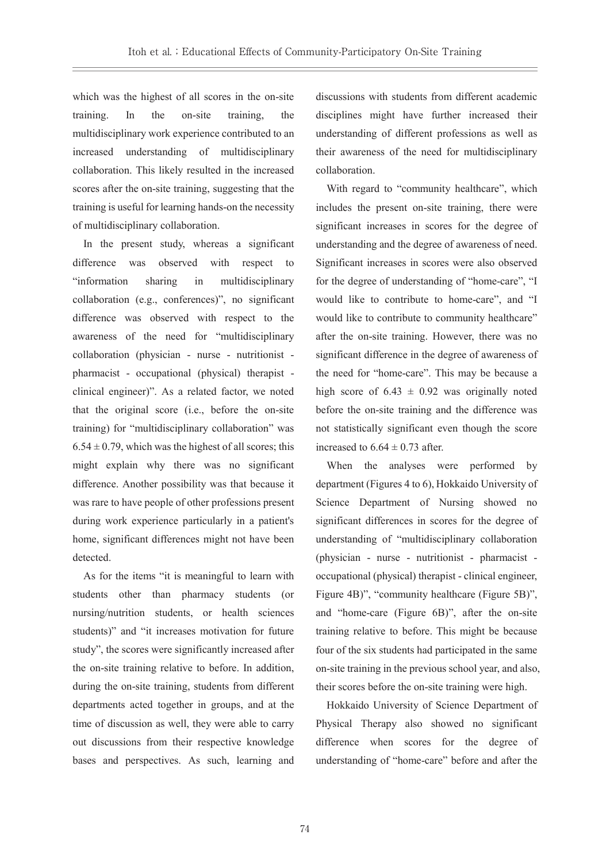which was the highest of all scores in the on-site training. In the on-site training, the multidisciplinary work experience contributed to an increased understanding of multidisciplinary collaboration. This likely resulted in the increased scores after the on-site training, suggesting that the training is useful for learning hands-on the necessity of multidisciplinary collaboration.

In the present study, whereas a significant difference was observed with respect to "information sharing in multidisciplinary collaboration (e.g., conferences)", no significant difference was observed with respect to the awareness of the need for "multidisciplinary collaboration (physician - nurse - nutritionist pharmacist - occupational (physical) therapist clinical engineer)". As a related factor, we noted that the original score (i.e., before the on-site training) for "multidisciplinary collaboration" was  $6.54 \pm 0.79$ , which was the highest of all scores; this might explain why there was no significant difference. Another possibility was that because it was rare to have people of other professions present during work experience particularly in a patient's home, significant differences might not have been detected.

As for the items "it is meaningful to learn with students other than pharmacy students (or nursing/nutrition students, or health sciences students)" and "it increases motivation for future study", the scores were significantly increased after the on-site training relative to before. In addition, during the on-site training, students from different departments acted together in groups, and at the time of discussion as well, they were able to carry out discussions from their respective knowledge bases and perspectives. As such, learning and

discussions with students from different academic disciplines might have further increased their understanding of different professions as well as their awareness of the need for multidisciplinary collaboration.

With regard to "community healthcare", which includes the present on-site training, there were significant increases in scores for the degree of understanding and the degree of awareness of need. Significant increases in scores were also observed for the degree of understanding of "home-care", "I would like to contribute to home-care", and "I would like to contribute to community healthcare" after the on-site training. However, there was no significant difference in the degree of awareness of the need for "home-care". This may be because a high score of  $6.43 \pm 0.92$  was originally noted before the on-site training and the difference was not statistically significant even though the score increased to  $6.64 \pm 0.73$  after.

When the analyses were performed by department (Figures 4 to 6), Hokkaido University of Science Department of Nursing showed no significant differences in scores for the degree of understanding of "multidisciplinary collaboration (physician - nurse - nutritionist - pharmacist occupational (physical) therapist - clinical engineer, Figure 4B)", "community healthcare (Figure 5B)", and "home-care (Figure 6B)", after the on-site training relative to before. This might be because four of the six students had participated in the same on-site training in the previous school year, and also, their scores before the on-site training were high.

Hokkaido University of Science Department of Physical Therapy also showed no significant difference when scores for the degree of understanding of "home-care" before and after the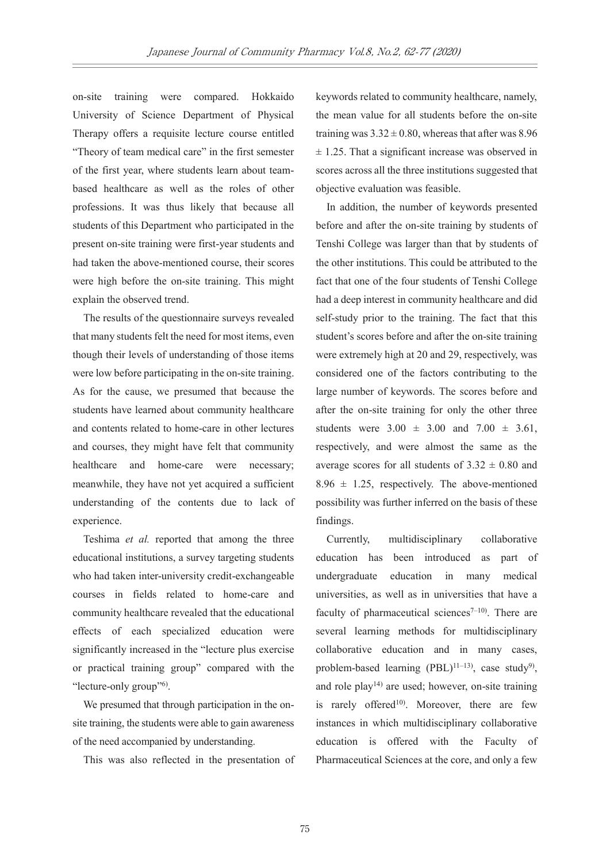on-site training were compared. Hokkaido University of Science Department of Physical Therapy offers a requisite lecture course entitled "Theory of team medical care" in the first semester of the first year, where students learn about teambased healthcare as well as the roles of other professions. It was thus likely that because all students of this Department who participated in the present on-site training were first-year students and had taken the above-mentioned course, their scores were high before the on-site training. This might explain the observed trend.

The results of the questionnaire surveys revealed that many students felt the need for most items, even though their levels of understanding of those items were low before participating in the on-site training. As for the cause, we presumed that because the students have learned about community healthcare and contents related to home-care in other lectures and courses, they might have felt that community healthcare and home-care were necessary; meanwhile, they have not yet acquired a sufficient understanding of the contents due to lack of experience.

Teshima *et al.* reported that among the three educational institutions, a survey targeting students who had taken inter-university credit-exchangeable courses in fields related to home-care and community healthcare revealed that the educational effects of each specialized education were significantly increased in the "lecture plus exercise or practical training group" compared with the "lecture-only group"<sup>6)</sup>.

We presumed that through participation in the onsite training, the students were able to gain awareness of the need accompanied by understanding.

This was also reflected in the presentation of

keywords related to community healthcare, namely, the mean value for all students before the on-site training was  $3.32 \pm 0.80$ , whereas that after was 8.96  $\pm$  1.25. That a significant increase was observed in scores across all the three institutions suggested that objective evaluation was feasible.

In addition, the number of keywords presented before and after the on-site training by students of Tenshi College was larger than that by students of the other institutions. This could be attributed to the fact that one of the four students of Tenshi College had a deep interest in community healthcare and did self-study prior to the training. The fact that this student's scores before and after the on-site training were extremely high at 20 and 29, respectively, was considered one of the factors contributing to the large number of keywords. The scores before and after the on-site training for only the other three students were  $3.00 \pm 3.00$  and  $7.00 \pm 3.61$ , respectively, and were almost the same as the average scores for all students of  $3.32 \pm 0.80$  and  $8.96 \pm 1.25$ , respectively. The above-mentioned possibility was further inferred on the basis of these findings.

Currently, multidisciplinary collaborative education has been introduced as part of undergraduate education in many medical universities, as well as in universities that have a faculty of pharmaceutical sciences<sup> $7-10$ </sup>. There are several learning methods for multidisciplinary collaborative education and in many cases, problem-based learning  $(PBL)^{11-13}$ , case study<sup>9</sup>), and role play<sup>14)</sup> are used; however, on-site training is rarely offered<sup>10</sup>. Moreover, there are few instances in which multidisciplinary collaborative education is offered with the Faculty of Pharmaceutical Sciences at the core, and only a few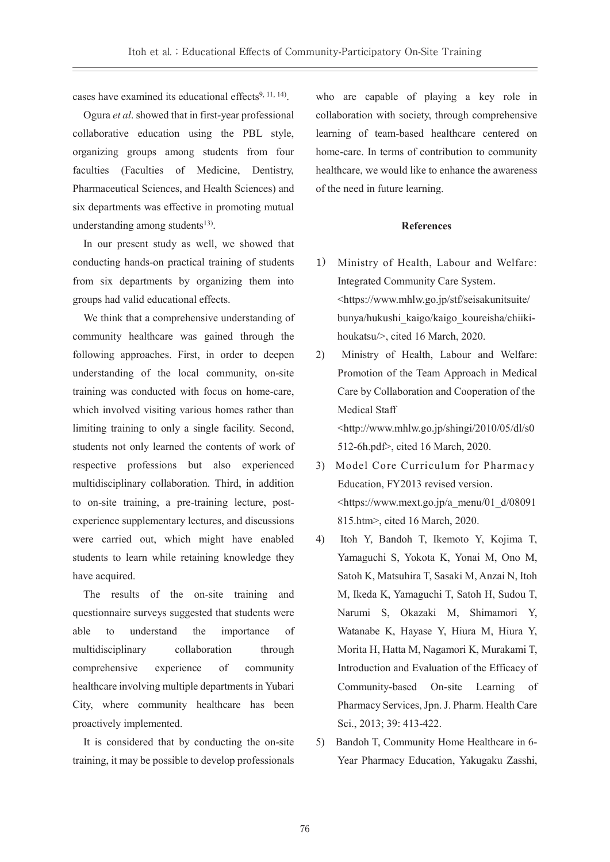cases have examined its educational effects $9, 11, 14$ .

Ogura *et al*. showed that in first-year professional collaborative education using the PBL style, organizing groups among students from four faculties (Faculties of Medicine, Dentistry, Pharmaceutical Sciences, and Health Sciences) and six departments was effective in promoting mutual understanding among students $13$ ).

In our present study as well, we showed that conducting hands-on practical training of students from six departments by organizing them into groups had valid educational effects.

We think that a comprehensive understanding of community healthcare was gained through the following approaches. First, in order to deepen understanding of the local community, on-site training was conducted with focus on home-care, which involved visiting various homes rather than limiting training to only a single facility. Second, students not only learned the contents of work of respective professions but also experienced multidisciplinary collaboration. Third, in addition to on-site training, a pre-training lecture, postexperience supplementary lectures, and discussions were carried out, which might have enabled students to learn while retaining knowledge they have acquired.

The results of the on-site training and questionnaire surveys suggested that students were able to understand the importance of multidisciplinary collaboration through comprehensive experience of community healthcare involving multiple departments in Yubari City, where community healthcare has been proactively implemented.

It is considered that by conducting the on-site training, it may be possible to develop professionals who are capable of playing a key role in collaboration with society, through comprehensive learning of team-based healthcare centered on home-care. In terms of contribution to community healthcare, we would like to enhance the awareness of the need in future learning.

#### **References**

- 1) Ministry of Health, Labour and Welfare: Integrated Community Care System. <https://www.mhlw.go.jp/stf/seisakunitsuite/ bunya/hukushi\_kaigo/kaigo\_koureisha/chiikihoukatsu/>, cited 16 March, 2020.
- 2) Ministry of Health, Labour and Welfare: Promotion of the Team Approach in Medical Care by Collaboration and Cooperation of the Medical Staff <http://www.mhlw.go.jp/shingi/2010/05/dl/s0 512-6h.pdf>, cited 16 March, 2020.
- 3) Model Core Curriculum for Pharmacy Education, FY2013 revised version.  $\lt$ https://www.mext.go.jp/a\_menu/01\_d/08091 815.htm>, cited 16 March, 2020.
- 4) Itoh Y, Bandoh T, Ikemoto Y, Kojima T, Yamaguchi S, Yokota K, Yonai M, Ono M, Satoh K, Matsuhira T, Sasaki M, Anzai N, Itoh M, Ikeda K, Yamaguchi T, Satoh H, Sudou T, Narumi S, Okazaki M, Shimamori Y, Watanabe K, Hayase Y, Hiura M, Hiura Y, Morita H, Hatta M, Nagamori K, Murakami T, Introduction and Evaluation of the Efficacy of Community-based On-site Learning of Pharmacy Services, Jpn. J. Pharm. Health Care Sci., 2013; 39: 413-422.
- 5) Bandoh T, Community Home Healthcare in 6- Year Pharmacy Education, Yakugaku Zasshi,